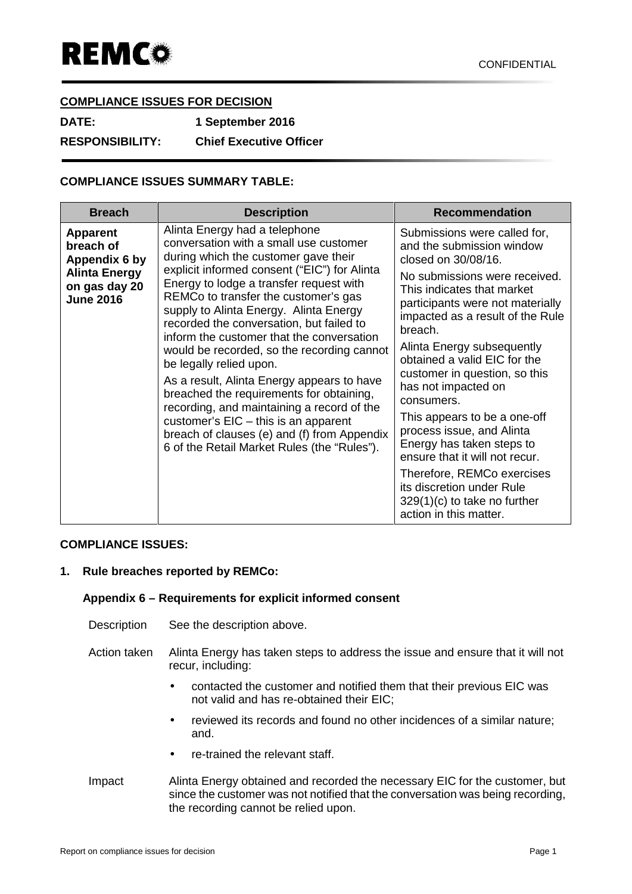## **COMPLIANCE ISSUES FOR DECISION**

| <b>DATE:</b>           | 1 September 2016               |
|------------------------|--------------------------------|
| <b>RESPONSIBILITY:</b> | <b>Chief Executive Officer</b> |

# **COMPLIANCE ISSUES SUMMARY TABLE:**

| <b>Breach</b>                                                                                              | <b>Description</b>                                                                                                                                                                                                                                                                                                                                                                                                                                                                                                                                                                                                                                                                                                                             | <b>Recommendation</b>                                                                                                                                                                                                                                                                                                                                                                                                                                                                                                                                                                                                     |
|------------------------------------------------------------------------------------------------------------|------------------------------------------------------------------------------------------------------------------------------------------------------------------------------------------------------------------------------------------------------------------------------------------------------------------------------------------------------------------------------------------------------------------------------------------------------------------------------------------------------------------------------------------------------------------------------------------------------------------------------------------------------------------------------------------------------------------------------------------------|---------------------------------------------------------------------------------------------------------------------------------------------------------------------------------------------------------------------------------------------------------------------------------------------------------------------------------------------------------------------------------------------------------------------------------------------------------------------------------------------------------------------------------------------------------------------------------------------------------------------------|
| <b>Apparent</b><br>breach of<br>Appendix 6 by<br><b>Alinta Energy</b><br>on gas day 20<br><b>June 2016</b> | Alinta Energy had a telephone<br>conversation with a small use customer<br>during which the customer gave their<br>explicit informed consent ("EIC") for Alinta<br>Energy to lodge a transfer request with<br>REMCo to transfer the customer's gas<br>supply to Alinta Energy. Alinta Energy<br>recorded the conversation, but failed to<br>inform the customer that the conversation<br>would be recorded, so the recording cannot<br>be legally relied upon.<br>As a result, Alinta Energy appears to have<br>breached the requirements for obtaining,<br>recording, and maintaining a record of the<br>customer's $EIC - this$ is an apparent<br>breach of clauses (e) and (f) from Appendix<br>6 of the Retail Market Rules (the "Rules"). | Submissions were called for,<br>and the submission window<br>closed on 30/08/16.<br>No submissions were received.<br>This indicates that market<br>participants were not materially<br>impacted as a result of the Rule<br>breach.<br>Alinta Energy subsequently<br>obtained a valid EIC for the<br>customer in question, so this<br>has not impacted on<br>consumers.<br>This appears to be a one-off<br>process issue, and Alinta<br>Energy has taken steps to<br>ensure that it will not recur.<br>Therefore, REMCo exercises<br>its discretion under Rule<br>$329(1)(c)$ to take no further<br>action in this matter. |

#### **COMPLIANCE ISSUES:**

### **1. Rule breaches reported by REMCo:**

### **Appendix 6 – Requirements for explicit informed consent**

- Description See the description above.
- Action taken Alinta Energy has taken steps to address the issue and ensure that it will not recur, including:
	- contacted the customer and notified them that their previous EIC was not valid and has re-obtained their EIC;
	- reviewed its records and found no other incidences of a similar nature; and.
	- re-trained the relevant staff.
- Impact Alinta Energy obtained and recorded the necessary EIC for the customer, but since the customer was not notified that the conversation was being recording, the recording cannot be relied upon.